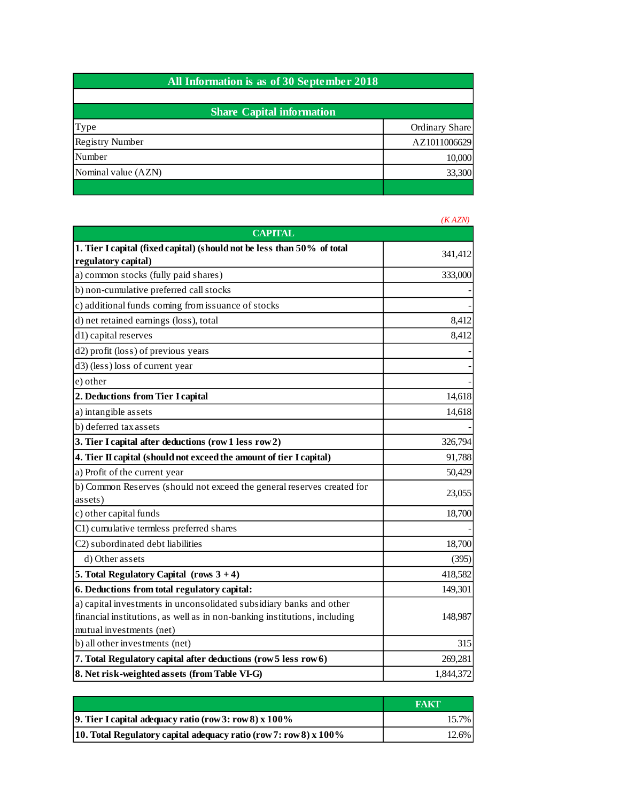| All Information is as of 30 September 2018 |                |  |
|--------------------------------------------|----------------|--|
| <b>Share Capital information</b>           |                |  |
| Type                                       | Ordinary Share |  |
| Registry Number                            | AZ1011006629   |  |
| Number                                     | 10,000         |  |
| Nominal value (AZN)                        | 33,300         |  |
|                                            |                |  |

|                                                                           | (KAZN)    |
|---------------------------------------------------------------------------|-----------|
| <b>CAPITAL</b>                                                            |           |
| 1. Tier I capital (fixed capital) (should not be less than 50% of total   | 341,412   |
| regulatory capital)                                                       |           |
| a) common stocks (fully paid shares)                                      | 333,000   |
| b) non-cumulative preferred call stocks                                   |           |
| c) additional funds coming from issuance of stocks                        |           |
| d) net retained earnings (loss), total                                    | 8,412     |
| d1) capital reserves                                                      | 8,412     |
| d2) profit (loss) of previous years                                       |           |
| d3) (less) loss of current year                                           |           |
| e) other                                                                  |           |
| 2. Deductions from Tier I capital                                         | 14,618    |
| a) intangible assets                                                      | 14,618    |
| b) deferred tax assets                                                    |           |
| 3. Tier I capital after deductions (row 1 less row 2)                     | 326,794   |
| 4. Tier II capital (should not exceed the amount of tier I capital)       | 91,788    |
| a) Profit of the current year                                             | 50,429    |
| b) Common Reserves (should not exceed the general reserves created for    | 23,055    |
| assets)                                                                   |           |
| c) other capital funds                                                    | 18,700    |
| C1) cumulative termless preferred shares                                  |           |
| C2) subordinated debt liabilities                                         | 18,700    |
| d) Other assets                                                           | (395)     |
| 5. Total Regulatory Capital $(rows 3 + 4)$                                | 418,582   |
| 6. Deductions from total regulatory capital:                              | 149,301   |
| a) capital investments in unconsolidated subsidiary banks and other       |           |
| financial institutions, as well as in non-banking institutions, including | 148,987   |
| mutual investments (net)                                                  |           |
| b) all other investments (net)                                            | 315       |
| 7. Total Regulatory capital after deductions (row 5 less row 6)           | 269,281   |
| 8. Net risk-weighted assets (from Table VI-G)                             | 1,844,372 |

|                                                                      | <b>FAKT</b> |
|----------------------------------------------------------------------|-------------|
| 9. Tier I capital adequacy ratio (row 3: row 8) $x 100\%$            | 15.7%       |
| 10. Total Regulatory capital adequacy ratio (row 7: row 8) x $100\%$ | $12.6\%$    |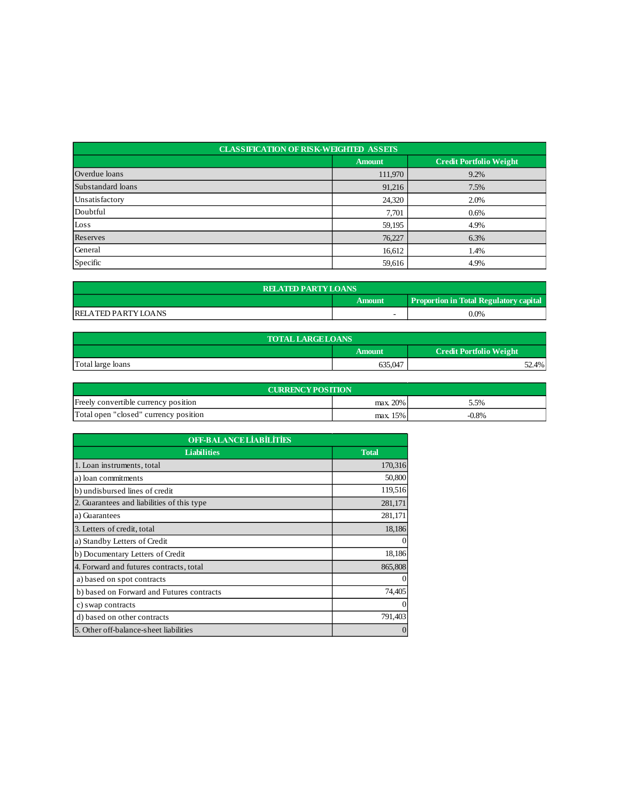| <b>CLASSIFICATION OF RISK-WEIGHTED ASSETS</b> |               |                                |  |  |
|-----------------------------------------------|---------------|--------------------------------|--|--|
|                                               | <b>Amount</b> | <b>Credit Portfolio Weight</b> |  |  |
| Overdue loans                                 | 111,970       | 9.2%                           |  |  |
| Substandard loans                             | 91,216        | 7.5%                           |  |  |
| Unsatisfactory                                | 24,320        | 2.0%                           |  |  |
| Doubtful                                      | 7,701         | 0.6%                           |  |  |
| Loss                                          | 59,195        | 4.9%                           |  |  |
| Reserves                                      | 76,227        | 6.3%                           |  |  |
| General                                       | 16,612        | 1.4%                           |  |  |
| Specific                                      | 59,616        | 4.9%                           |  |  |

| <b>RELATED PARTY LOANS</b>                              |  |         |  |  |
|---------------------------------------------------------|--|---------|--|--|
| <b>Proportion in Total Regulatory capital</b><br>Amount |  |         |  |  |
| <b>RELATED PARTY LOANS</b>                              |  | $0.0\%$ |  |  |

| <b>TOTAL LARGE LOANS</b> |                                   |       |  |  |
|--------------------------|-----------------------------------|-------|--|--|
|                          | Credit Portfolio Weight<br>Amount |       |  |  |
| Total large loans        | 635,047                           | 52.4% |  |  |

| <b>CURRENCY POSITION</b>              |          |          |  |  |
|---------------------------------------|----------|----------|--|--|
| Freely convertible currency position  | max. 20% | 5.5%     |  |  |
| Total open "closed" currency position | max. 15% | $-0.8\%$ |  |  |

| <b>OFF-BALANCE LIABILITIES</b>             |                |  |
|--------------------------------------------|----------------|--|
| <b>Liabilities</b>                         | <b>Total</b>   |  |
| 1. Loan instruments, total                 | 170,316        |  |
| a) loan commitments                        | 50,800         |  |
| b) undisbursed lines of credit             | 119,516        |  |
| 2. Guarantees and liabilities of this type | 281,171        |  |
| a) Guarantees                              | 281,171        |  |
| 3. Letters of credit, total                | 18,186         |  |
| a) Standby Letters of Credit               | $\Omega$       |  |
| b) Documentary Letters of Credit           | 18,186         |  |
| 4. Forward and futures contracts, total    | 865,808        |  |
| a) based on spot contracts                 | $\mathbf{0}$   |  |
| b) based on Forward and Futures contracts  | 74,405         |  |
| c) swap contracts                          | $\Omega$       |  |
| d) based on other contracts                | 791,403        |  |
| 5. Other off-balance-sheet liabilities     | $\overline{0}$ |  |